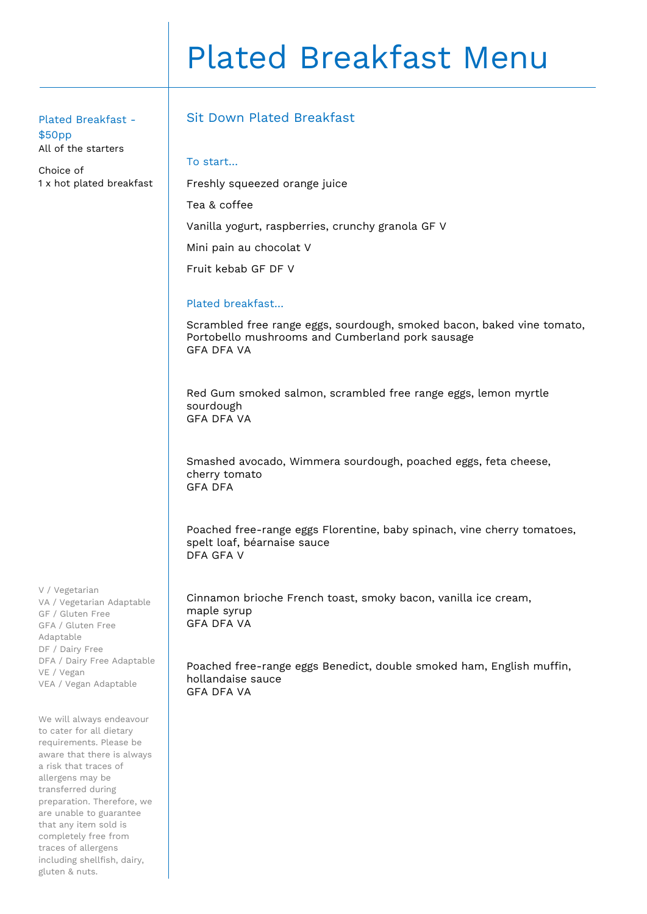# Plated Breakfast Menu

Plated Breakfast - \$50pp All of the starters

Choice of 1 x hot plated breakfast

# Sit Down Plated Breakfast

Freshly squeezed orange juice

### To start…

Tea & coffee

Vanilla yogurt, raspberries, crunchy granola GF V

Mini pain au chocolat V

Fruit kebab GF DF V

## Plated breakfast…

Scrambled free range eggs, sourdough, smoked bacon, baked vine tomato, Portobello mushrooms and Cumberland pork sausage GFA DFA VA

Red Gum smoked salmon, scrambled free range eggs, lemon myrtle sourdough GFA DFA VA

Smashed avocado, Wimmera sourdough, poached eggs, feta cheese, cherry tomato GFA DFA

Poached free-range eggs Florentine, baby spinach, vine cherry tomatoes, spelt loaf, béarnaise sauce DFA GFA V

Cinnamon brioche French toast, smoky bacon, vanilla ice cream, maple syrup GFA DFA VA

Poached free-range eggs Benedict, double smoked ham, English muffin, hollandaise sauce GFA DFA VA

V / Vegetarian VA / Vegetarian Adaptable GF / Gluten Free GFA / Gluten Free Adaptable DF / Dairy Free DFA / Dairy Free Adaptable VE / Vegan VEA / Vegan Adaptable

We will always endeavour to cater for all dietary requirements. Please be aware that there is always a risk that traces of allergens may be transferred during preparation. Therefore, we are unable to guarantee that any item sold is completely free from traces of allergens including shellfish, dairy, gluten & nuts.